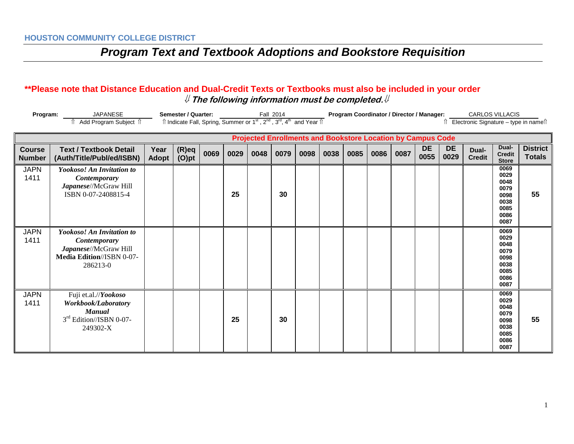#### **\*\*Please note that Distance Education and Dual-Credit Texts or Textbooks must also be included in your order** ⇓ **The following information must be completed.**⇓

| <b>JAPANESE</b><br>Program:<br>Add Program Subject 1 |                                                                                                                    | Semester / Quarter:<br>Fall 2014<br>Îl Indicate Fall, Spring, Summer or 1 <sup>st</sup> , 2 <sup>nd</sup> , 3 <sup>rd</sup> , 4 <sup>th</sup> and Year Îl |                      |      |      |      |      |                                                                    |      |      | Program Coordinator / Director / Manager: |      | <b>CARLOS VILLACIS</b><br>Electronic Signature - type in namell |                   |                        |                                                                      |                                  |
|------------------------------------------------------|--------------------------------------------------------------------------------------------------------------------|-----------------------------------------------------------------------------------------------------------------------------------------------------------|----------------------|------|------|------|------|--------------------------------------------------------------------|------|------|-------------------------------------------|------|-----------------------------------------------------------------|-------------------|------------------------|----------------------------------------------------------------------|----------------------------------|
|                                                      |                                                                                                                    |                                                                                                                                                           |                      |      |      |      |      | <b>Projected Enrollments and Bookstore Location by Campus Code</b> |      |      |                                           |      |                                                                 |                   |                        |                                                                      |                                  |
| <b>Course</b><br><b>Number</b>                       | <b>Text / Textbook Detail</b><br>(Auth/Title/Publ/ed/ISBN)                                                         | Year<br><b>Adopt</b>                                                                                                                                      | $(R)$ eq<br>$(O)$ pt | 0069 | 0029 | 0048 | 0079 | 0098                                                               | 0038 | 0085 | 0086                                      | 0087 | <b>DE</b><br>0055                                               | <b>DE</b><br>0029 | Dual-<br><b>Credit</b> | Dual-<br><b>Credit</b><br><b>Store</b>                               | <b>District</b><br><b>Totals</b> |
| <b>JAPN</b><br>1411                                  | Yookoso! An Invitation to<br><b>Contemporary</b><br>Japanese//McGraw Hill<br>ISBN 0-07-2408815-4                   |                                                                                                                                                           |                      |      | 25   |      | 30   |                                                                    |      |      |                                           |      |                                                                 |                   |                        | 0069<br>0029<br>0048<br>0079<br>0098<br>0038<br>0085<br>0086<br>0087 | 55                               |
| <b>JAPN</b><br>1411                                  | <b>Yookoso! An Invitation to</b><br>Contemporary<br>Japanese//McGraw Hill<br>Media Edition//ISBN 0-07-<br>286213-0 |                                                                                                                                                           |                      |      |      |      |      |                                                                    |      |      |                                           |      |                                                                 |                   |                        | 0069<br>0029<br>0048<br>0079<br>0098<br>0038<br>0085<br>0086<br>0087 |                                  |
| <b>JAPN</b><br>1411                                  | Fuji et.al.//Yookoso<br>Workbook/Laboratory<br><b>Manual</b><br>$3rd Edition/ISBN 0-07-$<br>249302-X               |                                                                                                                                                           |                      |      | 25   |      | 30   |                                                                    |      |      |                                           |      |                                                                 |                   |                        | 0069<br>0029<br>0048<br>0079<br>0098<br>0038<br>0085<br>0086<br>0087 | 55                               |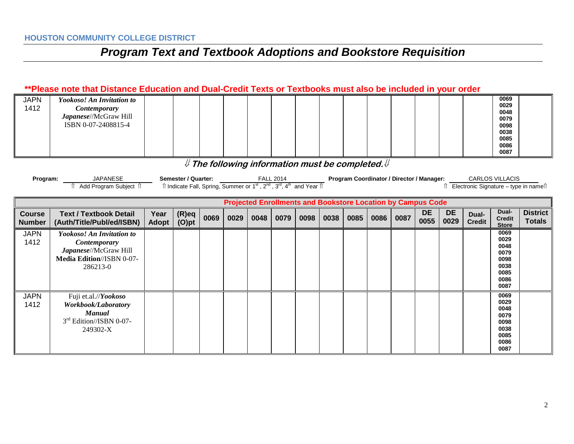#### **\*\*Please note that Distance Education and Dual-Credit Texts or Textbooks must also be included in your order**

| <b>JAPN</b> | <b>Yookoso! An Invitation to</b> |  |  |  |  |  |  |  | 0069 |  |
|-------------|----------------------------------|--|--|--|--|--|--|--|------|--|
| 1412        | <i>Contemporary</i>              |  |  |  |  |  |  |  | 0029 |  |
|             |                                  |  |  |  |  |  |  |  | 0048 |  |
|             | Japanese//McGraw Hill            |  |  |  |  |  |  |  | 0079 |  |
|             | ISBN 0-07-2408815-4              |  |  |  |  |  |  |  | 0098 |  |
|             |                                  |  |  |  |  |  |  |  | 0038 |  |
|             |                                  |  |  |  |  |  |  |  | 0085 |  |
|             |                                  |  |  |  |  |  |  |  | 0086 |  |
|             |                                  |  |  |  |  |  |  |  | 0087 |  |

⇓ **The following information must be completed.**⇓

| Program: | <b>JAPANESF</b>            | / Quarter:<br>3emester /    | <b>FALL 2014</b>                                                                           | <b>Program Coordinator / Director / Manager:</b> | <b>CARLOS VILLACIS</b>                |
|----------|----------------------------|-----------------------------|--------------------------------------------------------------------------------------------|--------------------------------------------------|---------------------------------------|
|          | ا Subiect<br>Add Program \ | $\lambda$<br>lndicate Fall. | ∽rd<br><sup>1</sup> Year ⊪<br>$\sim$ <sup>no</sup><br>., Spring, Summer or 1 <sup>st</sup> |                                                  | Electronic Signature – type in namell |

| <b>Projected Enrollments and Bookstore Location by Campus Code</b> |                                                                                                                           |                      |                      |      |      |      |      |      |      |      |      |      |                   |                   |                        |                                                                      |                                  |
|--------------------------------------------------------------------|---------------------------------------------------------------------------------------------------------------------------|----------------------|----------------------|------|------|------|------|------|------|------|------|------|-------------------|-------------------|------------------------|----------------------------------------------------------------------|----------------------------------|
| <b>Course</b><br><b>Number</b>                                     | <b>Text / Textbook Detail</b><br>(Auth/Title/Publ/ed/ISBN)                                                                | Year<br><b>Adopt</b> | $(R)$ eq<br>$(O)$ pt | 0069 | 0029 | 0048 | 0079 | 0098 | 0038 | 0085 | 0086 | 0087 | <b>DE</b><br>0055 | <b>DE</b><br>0029 | Dual-<br><b>Credit</b> | Dual-<br><b>Credit</b><br><b>Store</b>                               | <b>District</b><br><b>Totals</b> |
| <b>JAPN</b><br>1412                                                | <b>Yookoso! An Invitation to</b><br><b>Contemporary</b><br>Japanese//McGraw Hill<br>Media Edition//ISBN 0-07-<br>286213-0 |                      |                      |      |      |      |      |      |      |      |      |      |                   |                   |                        | 0069<br>0029<br>0048<br>0079<br>0098<br>0038<br>0085<br>0086<br>0087 |                                  |
| <b>JAPN</b><br>1412                                                | Fuji et.al.//Yookoso<br>Workbook/Laboratory<br>Manual<br>$3rd Edition/ISBN 0-07-$<br>249302-X                             |                      |                      |      |      |      |      |      |      |      |      |      |                   |                   |                        | 0069<br>0029<br>0048<br>0079<br>0098<br>0038<br>0085<br>0086<br>0087 |                                  |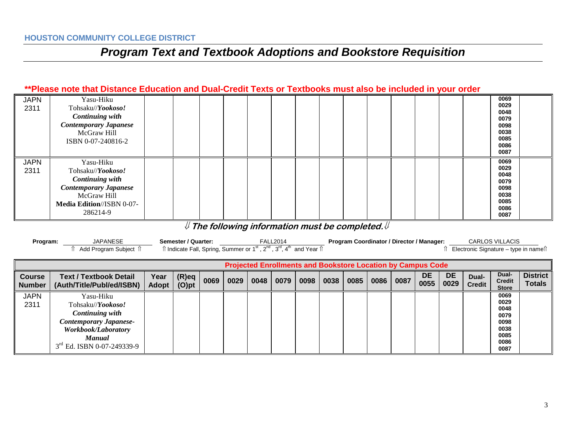#### **\*\*Please note that Distance Education and Dual-Credit Texts or Textbooks must also be included in your order**

| <b>JAPN</b><br>2311 | Yasu-Hiku<br>Tohsaku//Yookoso!<br><b>Continuing with</b><br><b>Contemporary Japanese</b><br>McGraw Hill<br>ISBN 0-07-240816-2                           |  |  |  |  |  |  |  | 0069<br>0029<br>0048<br>0079<br>0098<br>0038<br>0085<br>0086         |  |
|---------------------|---------------------------------------------------------------------------------------------------------------------------------------------------------|--|--|--|--|--|--|--|----------------------------------------------------------------------|--|
|                     |                                                                                                                                                         |  |  |  |  |  |  |  | 0087                                                                 |  |
| <b>JAPN</b><br>2311 | Yasu-Hiku<br>Tohsaku//Yookoso!<br><b>Continuing with</b><br><b>Contemporary Japanese</b><br>McGraw Hill<br><b>Media Edition//ISBN 0-07-</b><br>286214-9 |  |  |  |  |  |  |  | 0069<br>0029<br>0048<br>0079<br>0098<br>0038<br>0085<br>0086<br>0087 |  |

### ⇓ **The following information must be completed.**⇓

| Program:                       | <b>JAPANESE</b><br>Add Program Subject î                                                                                                                                  |                      | Semester / Quarter:<br>f Indicate Fall, Spring, Summer or 1 <sup>st</sup> , 2 <sup>nd</sup> , 3 <sup>rd</sup> , 4 <sup>th</sup> and Year f |      |      |      | <b>FALL2014</b> |      |      | Program Coordinator / Director / Manager: |      |      |                   | <b>CARLOS VILLACIS</b><br>Electronic Signature – type in names |                        |                                                                      |                                  |
|--------------------------------|---------------------------------------------------------------------------------------------------------------------------------------------------------------------------|----------------------|--------------------------------------------------------------------------------------------------------------------------------------------|------|------|------|-----------------|------|------|-------------------------------------------|------|------|-------------------|----------------------------------------------------------------|------------------------|----------------------------------------------------------------------|----------------------------------|
|                                | <b>Projected Enrollments and Bookstore Location by Campus Code</b>                                                                                                        |                      |                                                                                                                                            |      |      |      |                 |      |      |                                           |      |      |                   |                                                                |                        |                                                                      |                                  |
| <b>Course</b><br><b>Number</b> | Text / Textbook Detail<br>(Auth/Title/Publ/ed/ISBN)                                                                                                                       | Year<br><b>Adopt</b> | $(R)$ eq<br>(O)pt                                                                                                                          | 0069 | 0029 | 0048 | 0079            | 0098 | 0038 | 0085                                      | 0086 | 0087 | <b>DE</b><br>0055 | <b>DE</b><br>0029                                              | Dual-<br><b>Credit</b> | Dual-<br><b>Credit</b><br><b>Store</b>                               | <b>District</b><br><b>Totals</b> |
| <b>JAPN</b><br>2311            | Yasu-Hiku<br>Tohsaku// <i>Yookoso!</i><br><b>Continuing with</b><br><b>Contemporary Japanese-</b><br>Workbook/Laboratory<br><b>Manual</b><br>$3rd$ Ed. ISBN 0-07-249339-9 |                      |                                                                                                                                            |      |      |      |                 |      |      |                                           |      |      |                   |                                                                |                        | 0069<br>0029<br>0048<br>0079<br>0098<br>0038<br>0085<br>0086<br>0087 |                                  |